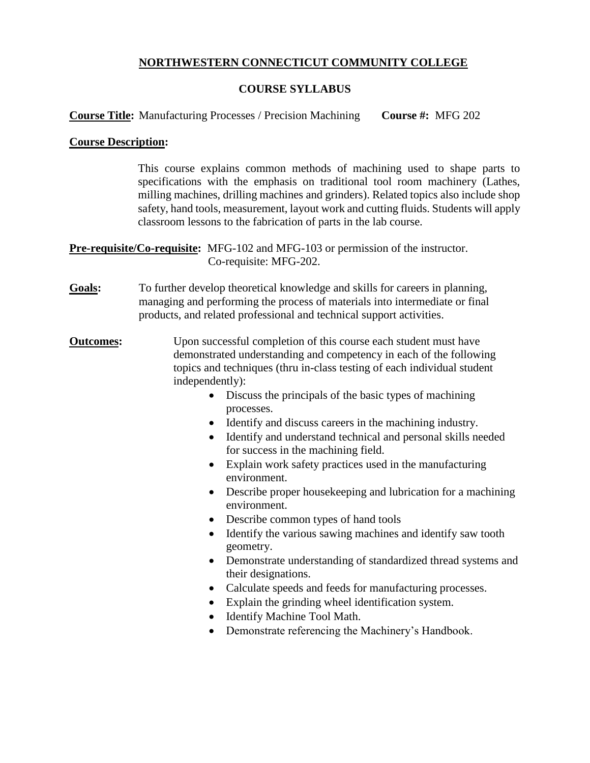## **NORTHWESTERN CONNECTICUT COMMUNITY COLLEGE**

# **COURSE SYLLABUS**

**Course Title:** Manufacturing Processes / Precision Machining **Course #:** MFG 202

## **Course Description:**

This course explains common methods of machining used to shape parts to specifications with the emphasis on traditional tool room machinery (Lathes, milling machines, drilling machines and grinders). Related topics also include shop safety, hand tools, measurement, layout work and cutting fluids. Students will apply classroom lessons to the fabrication of parts in the lab course.

**Pre-requisite/Co-requisite:** MFG-102 and MFG-103 or permission of the instructor. Co-requisite: MFG-202.

**Goals:** To further develop theoretical knowledge and skills for careers in planning, managing and performing the process of materials into intermediate or final products, and related professional and technical support activities.

**Outcomes:** Upon successful completion of this course each student must have demonstrated understanding and competency in each of the following topics and techniques (thru in-class testing of each individual student independently):

- Discuss the principals of the basic types of machining processes.
- Identify and discuss careers in the machining industry.
- Identify and understand technical and personal skills needed for success in the machining field.
- Explain work safety practices used in the manufacturing environment.
- Describe proper housekeeping and lubrication for a machining environment.
- Describe common types of hand tools
- Identify the various sawing machines and identify saw tooth geometry.
- Demonstrate understanding of standardized thread systems and their designations.
- Calculate speeds and feeds for manufacturing processes.
- Explain the grinding wheel identification system.
- Identify Machine Tool Math.
- Demonstrate referencing the Machinery's Handbook.